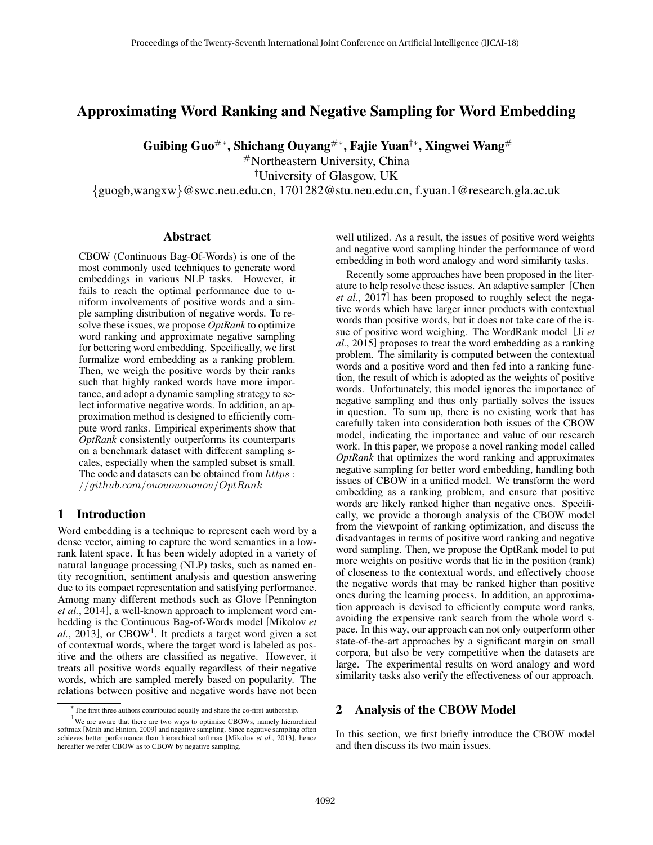# Approximating Word Ranking and Negative Sampling for Word Embedding

Guibing Guo#\*, Shichang Ouyang#\*, Fajie Yuan†\*, Xingwei Wang#

#Northeastern University, China

†University of Glasgow, UK

{guogb,wangxw}@swc.neu.edu.cn, 1701282@stu.neu.edu.cn, f.yuan.1@research.gla.ac.uk

### Abstract

CBOW (Continuous Bag-Of-Words) is one of the most commonly used techniques to generate word embeddings in various NLP tasks. However, it fails to reach the optimal performance due to uniform involvements of positive words and a simple sampling distribution of negative words. To resolve these issues, we propose *OptRank* to optimize word ranking and approximate negative sampling for bettering word embedding. Specifically, we first formalize word embedding as a ranking problem. Then, we weigh the positive words by their ranks such that highly ranked words have more importance, and adopt a dynamic sampling strategy to select informative negative words. In addition, an approximation method is designed to efficiently compute word ranks. Empirical experiments show that *OptRank* consistently outperforms its counterparts on a benchmark dataset with different sampling scales, especially when the sampled subset is small. The code and datasets can be obtained from  $https$  : //github.com/ouououououou/OptRank

### 1 Introduction

Word embedding is a technique to represent each word by a dense vector, aiming to capture the word semantics in a lowrank latent space. It has been widely adopted in a variety of natural language processing (NLP) tasks, such as named entity recognition, sentiment analysis and question answering due to its compact representation and satisfying performance. Among many different methods such as Glove [Pennington *et al.*, 2014], a well-known approach to implement word embedding is the Continuous Bag-of-Words model [Mikolov *et* al., 2013], or CBOW<sup>1</sup>. It predicts a target word given a set of contextual words, where the target word is labeled as positive and the others are classified as negative. However, it treats all positive words equally regardless of their negative words, which are sampled merely based on popularity. The relations between positive and negative words have not been well utilized. As a result, the issues of positive word weights and negative word sampling hinder the performance of word embedding in both word analogy and word similarity tasks.

Recently some approaches have been proposed in the literature to help resolve these issues. An adaptive sampler [Chen *et al.*, 2017] has been proposed to roughly select the negative words which have larger inner products with contextual words than positive words, but it does not take care of the issue of positive word weighing. The WordRank model [Ji *et al.*, 2015] proposes to treat the word embedding as a ranking problem. The similarity is computed between the contextual words and a positive word and then fed into a ranking function, the result of which is adopted as the weights of positive words. Unfortunately, this model ignores the importance of negative sampling and thus only partially solves the issues in question. To sum up, there is no existing work that has carefully taken into consideration both issues of the CBOW model, indicating the importance and value of our research work. In this paper, we propose a novel ranking model called *OptRank* that optimizes the word ranking and approximates negative sampling for better word embedding, handling both issues of CBOW in a unified model. We transform the word embedding as a ranking problem, and ensure that positive words are likely ranked higher than negative ones. Specifically, we provide a thorough analysis of the CBOW model from the viewpoint of ranking optimization, and discuss the disadvantages in terms of positive word ranking and negative word sampling. Then, we propose the OptRank model to put more weights on positive words that lie in the position (rank) of closeness to the contextual words, and effectively choose the negative words that may be ranked higher than positive ones during the learning process. In addition, an approximation approach is devised to efficiently compute word ranks, avoiding the expensive rank search from the whole word space. In this way, our approach can not only outperform other state-of-the-art approaches by a significant margin on small corpora, but also be very competitive when the datasets are large. The experimental results on word analogy and word similarity tasks also verify the effectiveness of our approach.

### 2 Analysis of the CBOW Model

In this section, we first briefly introduce the CBOW model and then discuss its two main issues.

<sup>∗</sup> The first three authors contributed equally and share the co-first authorship.

 $1$ We are aware that there are two ways to optimize CBOWs, namely hierarchical softmax [Mnih and Hinton, 2009] and negative sampling. Since negative sampling often achieves better performance than hierarchical softmax [Mikolov *et al.*, 2013], hence hereafter we refer CBOW as to CBOW by negative sampling.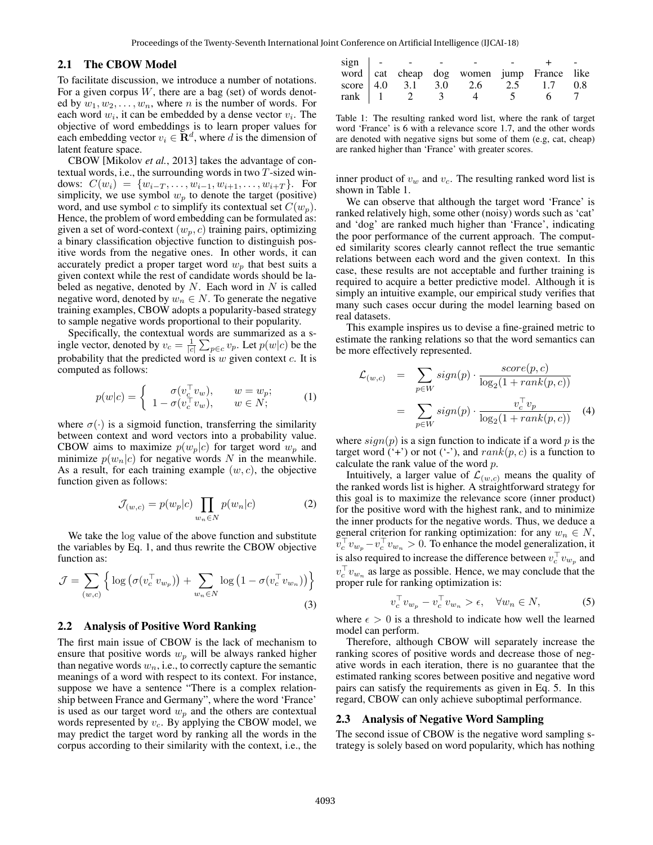### 2.1 The CBOW Model

To facilitate discussion, we introduce a number of notations. For a given corpus  $W$ , there are a bag (set) of words denoted by  $w_1, w_2, \ldots, w_n$ , where *n* is the number of words. For each word  $w_i$ , it can be embedded by a dense vector  $v_i$ . The objective of word embeddings is to learn proper values for each embedding vector  $v_i \in \mathbf{R}^d$ , where d is the dimension of latent feature space.

CBOW [Mikolov *et al.*, 2013] takes the advantage of contextual words, i.e., the surrounding words in two  $T$ -sized windows:  $C(w_i) = \{w_{i-T}, \ldots, w_{i-1}, w_{i+1}, \ldots, w_{i+T}\}.$  For simplicity, we use symbol  $w_p$  to denote the target (positive) word, and use symbol c to simplify its contextual set  $C(w_p)$ . Hence, the problem of word embedding can be formulated as: given a set of word-context  $(w_n, c)$  training pairs, optimizing a binary classification objective function to distinguish positive words from the negative ones. In other words, it can accurately predict a proper target word  $w_p$  that best suits a given context while the rest of candidate words should be labeled as negative, denoted by  $N$ . Each word in  $N$  is called negative word, denoted by  $w_n \in N$ . To generate the negative training examples, CBOW adopts a popularity-based strategy to sample negative words proportional to their popularity.

Specifically, the contextual words are summarized as a single vector, denoted by  $v_c = \frac{1}{|c|} \sum_{p \in c} v_p$ . Let  $p(w|c)$  be the probability that the predicted word is  $w$  given context  $c$ . It is computed as follows:

$$
p(w|c) = \begin{cases} \sigma(v_c^{\top} v_w), & w = w_p; \\ 1 - \sigma(v_c^{\top} v_w), & w \in N; \end{cases}
$$
 (1)

where  $\sigma(\cdot)$  is a sigmoid function, transferring the similarity between context and word vectors into a probability value. CBOW aims to maximize  $p(w_p|c)$  for target word  $w_p$  and minimize  $p(w_n|c)$  for negative words N in the meanwhile. As a result, for each training example  $(w, c)$ , the objective function given as follows:

$$
\mathcal{J}_{(w,c)} = p(w_p|c) \prod_{w_n \in N} p(w_n|c) \tag{2}
$$

We take the log value of the above function and substitute the variables by Eq. 1, and thus rewrite the CBOW objective function as:

$$
\mathcal{J} = \sum_{(w,c)} \left\{ \log \left( \sigma(v_c^{\top} v_{w_p}) \right) + \sum_{w_n \in N} \log \left( 1 - \sigma(v_c^{\top} v_{w_n}) \right) \right\}
$$
(3)

### 2.2 Analysis of Positive Word Ranking

The first main issue of CBOW is the lack of mechanism to ensure that positive words  $w_p$  will be always ranked higher than negative words  $w_n$ , i.e., to correctly capture the semantic meanings of a word with respect to its context. For instance, suppose we have a sentence "There is a complex relationship between France and Germany", where the word 'France' is used as our target word  $w_p$  and the others are contextual words represented by  $v_c$ . By applying the CBOW model, we may predict the target word by ranking all the words in the corpus according to their similarity with the context, i.e., the

| $sign \quad - \quad -$ |                                                 |                                                                     |        | <b>Contract Contract Contract</b> |
|------------------------|-------------------------------------------------|---------------------------------------------------------------------|--------|-----------------------------------|
|                        |                                                 | word cat cheap dog women jump France like                           |        |                                   |
|                        |                                                 | score $\begin{bmatrix} 4.0 & 3.1 \end{bmatrix}$ 3.0 2.6 2.5 1.7 0.8 |        |                                   |
|                        | rank $\begin{array}{ccc} 1 & 2 & 3 \end{array}$ | $\overline{4}$                                                      | $\sim$ |                                   |

Table 1: The resulting ranked word list, where the rank of target word 'France' is 6 with a relevance score 1.7, and the other words are denoted with negative signs but some of them (e.g, cat, cheap) are ranked higher than 'France' with greater scores.

inner product of  $v_w$  and  $v_c$ . The resulting ranked word list is shown in Table 1.

We can observe that although the target word 'France' is ranked relatively high, some other (noisy) words such as 'cat' and 'dog' are ranked much higher than 'France', indicating the poor performance of the current approach. The computed similarity scores clearly cannot reflect the true semantic relations between each word and the given context. In this case, these results are not acceptable and further training is required to acquire a better predictive model. Although it is simply an intuitive example, our empirical study verifies that many such cases occur during the model learning based on real datasets.

This example inspires us to devise a fine-grained metric to estimate the ranking relations so that the word semantics can be more effectively represented.

$$
\mathcal{L}_{(w,c)} = \sum_{p \in W} sign(p) \cdot \frac{score(p,c)}{\log_2(1 + rank(p,c))}
$$

$$
= \sum_{p \in W} sign(p) \cdot \frac{v_c^{\top} v_p}{\log_2(1 + rank(p,c))} \quad (4)
$$

where  $sign(p)$  is a sign function to indicate if a word p is the target word  $(*)$  or not  $(*)$ , and  $rank(p, c)$  is a function to calculate the rank value of the word p.

Intuitively, a larger value of  $\mathcal{L}_{(w,c)}$  means the quality of the ranked words list is higher. A straightforward strategy for this goal is to maximize the relevance score (inner product) for the positive word with the highest rank, and to minimize the inner products for the negative words. Thus, we deduce a general criterion for ranking optimization: for any  $w_n \in N$ ,  $\widetilde{v}_c^{\top} v_{w_p} - v_c^{\top} v_{w_n} > 0$ . To enhance the model generalization, it is also required to increase the difference between  $v_c^{\top} v_{w_p}$  and  $v_c^{\top} v_{w_n}$  as large as possible. Hence, we may conclude that the proper rule for ranking optimization is:

$$
v_c^{\top} v_{w_p} - v_c^{\top} v_{w_n} > \epsilon, \quad \forall w_n \in N,
$$
 (5)

where  $\epsilon > 0$  is a threshold to indicate how well the learned model can perform.

Therefore, although CBOW will separately increase the ranking scores of positive words and decrease those of negative words in each iteration, there is no guarantee that the estimated ranking scores between positive and negative word pairs can satisfy the requirements as given in Eq. 5. In this regard, CBOW can only achieve suboptimal performance.

#### 2.3 Analysis of Negative Word Sampling

The second issue of CBOW is the negative word sampling strategy is solely based on word popularity, which has nothing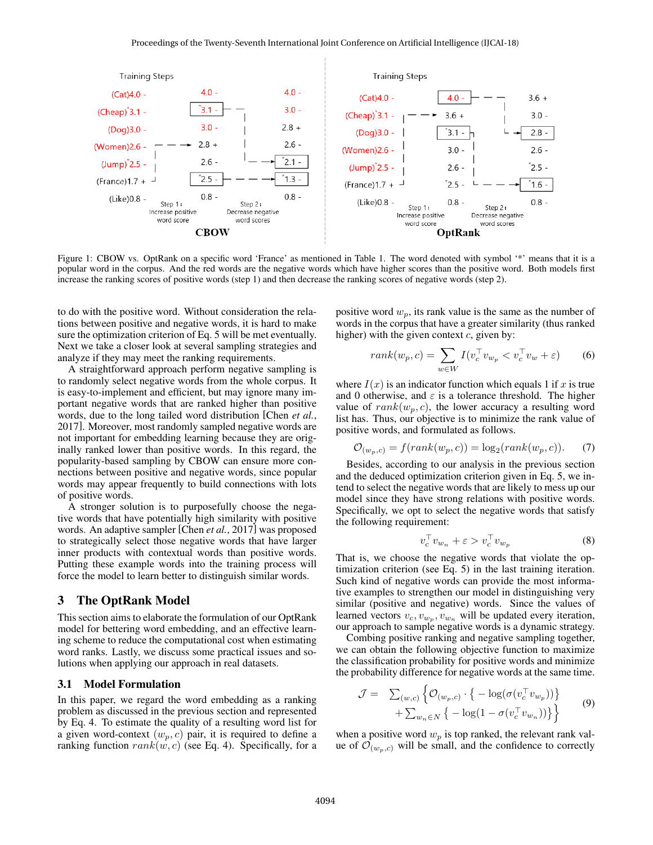

Figure 1: CBOW vs. OptRank on a specific word 'France' as mentioned in Table 1. The word denoted with symbol '\*' means that it is a popular word in the corpus. And the red words are the negative words which have higher scores than the positive word. Both models first increase the ranking scores of positive words (step 1) and then decrease the ranking scores of negative words (step 2).

to do with the positive word. Without consideration the relations between positive and negative words, it is hard to make sure the optimization criterion of Eq. 5 will be met eventually. Next we take a closer look at several sampling strategies and analyze if they may meet the ranking requirements.

A straightforward approach perform negative sampling is to randomly select negative words from the whole corpus. It is easy-to-implement and efficient, but may ignore many important negative words that are ranked higher than positive words, due to the long tailed word distribution [Chen *et al.*, 2017]. Moreover, most randomly sampled negative words are not important for embedding learning because they are originally ranked lower than positive words. In this regard, the popularity-based sampling by CBOW can ensure more connections between positive and negative words, since popular words may appear frequently to build connections with lots of positive words.

A stronger solution is to purposefully choose the negative words that have potentially high similarity with positive words. An adaptive sampler [Chen *et al.*, 2017] was proposed to strategically select those negative words that have larger inner products with contextual words than positive words. Putting these example words into the training process will force the model to learn better to distinguish similar words.

### 3 The OptRank Model

This section aims to elaborate the formulation of our OptRank model for bettering word embedding, and an effective learning scheme to reduce the computational cost when estimating word ranks. Lastly, we discuss some practical issues and solutions when applying our approach in real datasets.

### 3.1 Model Formulation

In this paper, we regard the word embedding as a ranking problem as discussed in the previous section and represented by Eq. 4. To estimate the quality of a resulting word list for a given word-context  $(w_p, c)$  pair, it is required to define a ranking function  $rank(w, c)$  (see Eq. 4). Specifically, for a positive word  $w_p$ , its rank value is the same as the number of words in the corpus that have a greater similarity (thus ranked higher) with the given context  $c$ , given by:

$$
rank(w_p, c) = \sum_{w \in W} I(v_c^\top v_{w_p} < v_c^\top v_w + \varepsilon) \tag{6}
$$

where  $I(x)$  is an indicator function which equals 1 if x is true and 0 otherwise, and  $\varepsilon$  is a tolerance threshold. The higher value of  $rank(w_p, c)$ , the lower accuracy a resulting word list has. Thus, our objective is to minimize the rank value of positive words, and formulated as follows.

$$
\mathcal{O}_{(w_p,c)} = f(rank(w_p,c)) = \log_2(rank(w_p,c)).\tag{7}
$$

Besides, according to our analysis in the previous section and the deduced optimization criterion given in Eq. 5, we intend to select the negative words that are likely to mess up our model since they have strong relations with positive words. Specifically, we opt to select the negative words that satisfy the following requirement:

$$
v_c^{\top} v_{w_n} + \varepsilon > v_c^{\top} v_{w_p} \tag{8}
$$

That is, we choose the negative words that violate the optimization criterion (see Eq. 5) in the last training iteration. Such kind of negative words can provide the most informative examples to strengthen our model in distinguishing very similar (positive and negative) words. Since the values of learned vectors  $v_c, v_{w_p}, v_{w_n}$  will be updated every iteration, our approach to sample negative words is a dynamic strategy.

Combing positive ranking and negative sampling together, we can obtain the following objective function to maximize the classification probability for positive words and minimize the probability difference for negative words at the same time.

$$
\mathcal{J} = \sum_{(w,c)} \left\{ \mathcal{O}_{(w_p,c)} \cdot \left\{ -\log(\sigma(v_c^{\top} v_{w_p})) \right\} + \sum_{w_n \in N} \left\{ -\log(1 - \sigma(v_c^{\top} v_{w_n})) \right\} \right\}
$$
(9)

when a positive word  $w_p$  is top ranked, the relevant rank value of  $\mathcal{O}_{(w_p,c)}$  will be small, and the confidence to correctly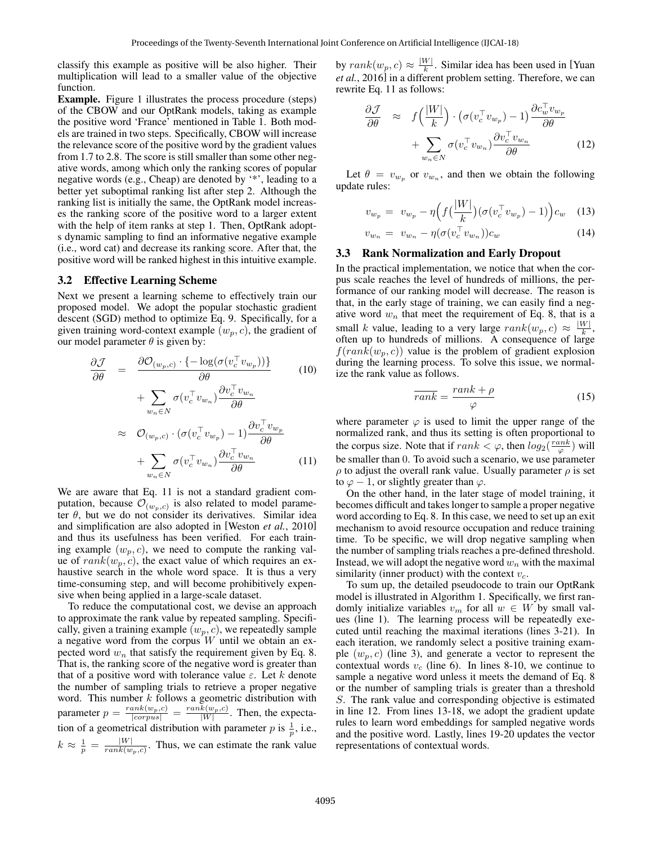classify this example as positive will be also higher. Their multiplication will lead to a smaller value of the objective function.

Example. Figure 1 illustrates the process procedure (steps) of the CBOW and our OptRank models, taking as example the positive word 'France' mentioned in Table 1. Both models are trained in two steps. Specifically, CBOW will increase the relevance score of the positive word by the gradient values from 1.7 to 2.8. The score is still smaller than some other negative words, among which only the ranking scores of popular negative words (e.g., Cheap) are denoted by '\*', leading to a better yet suboptimal ranking list after step 2. Although the ranking list is initially the same, the OptRank model increases the ranking score of the positive word to a larger extent with the help of item ranks at step 1. Then, OptRank adopts dynamic sampling to find an informative negative example (i.e., word cat) and decrease its ranking score. After that, the positive word will be ranked highest in this intuitive example.

#### 3.2 Effective Learning Scheme

Next we present a learning scheme to effectively train our proposed model. We adopt the popular stochastic gradient descent (SGD) method to optimize Eq. 9. Specifically, for a given training word-context example  $(w_p, c)$ , the gradient of our model parameter  $\theta$  is given by:

$$
\frac{\partial \mathcal{J}}{\partial \theta} = \frac{\partial \mathcal{O}_{(w_p, c)} \cdot \{-\log(\sigma(v_c^{\top} v_{w_p}))\}}{\partial \theta} \qquad (10)
$$

$$
+ \sum_{w_n \in N} \sigma(v_c^{\top} v_{w_n}) \frac{\partial v_c^{\top} v_{w_n}}{\partial \theta}
$$

$$
\approx \mathcal{O}_{(w_p, c)} \cdot (\sigma(v_c^{\top} v_{w_p}) - 1) \frac{\partial v_c^{\top} v_{w_p}}{\partial \theta}
$$

$$
+ \sum_{w_n \in N} \sigma(v_c^{\top} v_{w_n}) \frac{\partial v_c^{\top} v_{w_n}}{\partial \theta} \qquad (11)
$$

We are aware that Eq. 11 is not a standard gradient computation, because  $\mathcal{O}_{(w_p, c)}$  is also related to model parameter  $\theta$ , but we do not consider its derivatives. Similar idea and simplification are also adopted in [Weston *et al.*, 2010] and thus its usefulness has been verified. For each training example  $(w_p, c)$ , we need to compute the ranking value of  $rank(w_p, c)$ , the exact value of which requires an exhaustive search in the whole word space. It is thus a very time-consuming step, and will become prohibitively expensive when being applied in a large-scale dataset.

To reduce the computational cost, we devise an approach to approximate the rank value by repeated sampling. Specifically, given a training example  $(w_p, c)$ , we repeatedly sample a negative word from the corpus  $W$  until we obtain an expected word  $w_n$  that satisfy the requirement given by Eq. 8. That is, the ranking score of the negative word is greater than that of a positive word with tolerance value  $\varepsilon$ . Let k denote the number of sampling trials to retrieve a proper negative word. This number  $k$  follows a geometric distribution with parameter  $p = \frac{rank(w_p, c)}{|corpus|} = \frac{rank(w_p, c)}{|W|}$ . Then, the expectation of a geometrical distribution with parameter p is  $\frac{1}{p}$ , i.e.,  $k \, \approx \, \frac{1}{p} \, = \, \frac{|W|}{rank(w)}$  $\frac{|W|}{rank(w_p, c)}$ . Thus, we can estimate the rank value

by  $rank(w_p, c) \approx \frac{|W|}{k}$  $\frac{W}{k}$ . Similar idea has been used in [Yuan] *et al.*, 2016] in a different problem setting. Therefore, we can rewrite Eq. 11 as follows:

$$
\frac{\partial \mathcal{J}}{\partial \theta} \approx f\left(\frac{|W|}{k}\right) \cdot \left(\sigma(v_c^{\top} v_{w_p}) - 1\right) \frac{\partial c_w^{\top} v_{w_p}}{\partial \theta} + \sum_{w_n \in N} \sigma(v_c^{\top} v_{w_n}) \frac{\partial v_c^{\top} v_{w_n}}{\partial \theta} \tag{12}
$$

Let  $\theta = v_{w_p}$  or  $v_{w_n}$ , and then we obtain the following update rules:

$$
v_{w_p} = v_{w_p} - \eta \left( f\left(\frac{|W|}{k}\right) \left( \sigma(v_c^{\top} v_{w_p}) - 1 \right) \right) c_w \tag{13}
$$

$$
v_{w_n} = v_{w_n} - \eta(\sigma(v_c^\top v_{w_n}))c_w \tag{14}
$$

#### 3.3 Rank Normalization and Early Dropout

In the practical implementation, we notice that when the corpus scale reaches the level of hundreds of millions, the performance of our ranking model will decrease. The reason is that, in the early stage of training, we can easily find a negative word  $w_n$  that meet the requirement of Eq. 8, that is a small k value, leading to a very large  $rank(w_p, c) \approx \frac{|W|}{k}$  $\frac{W|}{k}$ , often up to hundreds of millions. A consequence of large  $f(rank(w_p, c))$  value is the problem of gradient explosion during the learning process. To solve this issue, we normalize the rank value as follows.

$$
\overline{rank} = \frac{rank + \rho}{\varphi} \tag{15}
$$

where parameter  $\varphi$  is used to limit the upper range of the normalized rank, and thus its setting is often proportional to the corpus size. Note that if  $rank < \varphi$ , then  $log_2(\frac{rank}{\varphi})$  will be smaller than 0. To avoid such a scenario, we use parameter  $\rho$  to adjust the overall rank value. Usually parameter  $\rho$  is set to  $\varphi$  – 1, or slightly greater than  $\varphi$ .

On the other hand, in the later stage of model training, it becomes difficult and takes longer to sample a proper negative word according to Eq. 8. In this case, we need to set up an exit mechanism to avoid resource occupation and reduce training time. To be specific, we will drop negative sampling when the number of sampling trials reaches a pre-defined threshold. Instead, we will adopt the negative word  $w_n$  with the maximal similarity (inner product) with the context  $v_c$ .

To sum up, the detailed pseudocode to train our OptRank model is illustrated in Algorithm 1. Specifically, we first randomly initialize variables  $v_m$  for all  $w \in W$  by small values (line 1). The learning process will be repeatedly executed until reaching the maximal iterations (lines 3-21). In each iteration, we randomly select a positive training example  $(w_p, c)$  (line 3), and generate a vector to represent the contextual words  $v_c$  (line 6). In lines 8-10, we continue to sample a negative word unless it meets the demand of Eq. 8 or the number of sampling trials is greater than a threshold S. The rank value and corresponding objective is estimated in line 12. From lines 13-18, we adopt the gradient update rules to learn word embeddings for sampled negative words and the positive word. Lastly, lines 19-20 updates the vector representations of contextual words.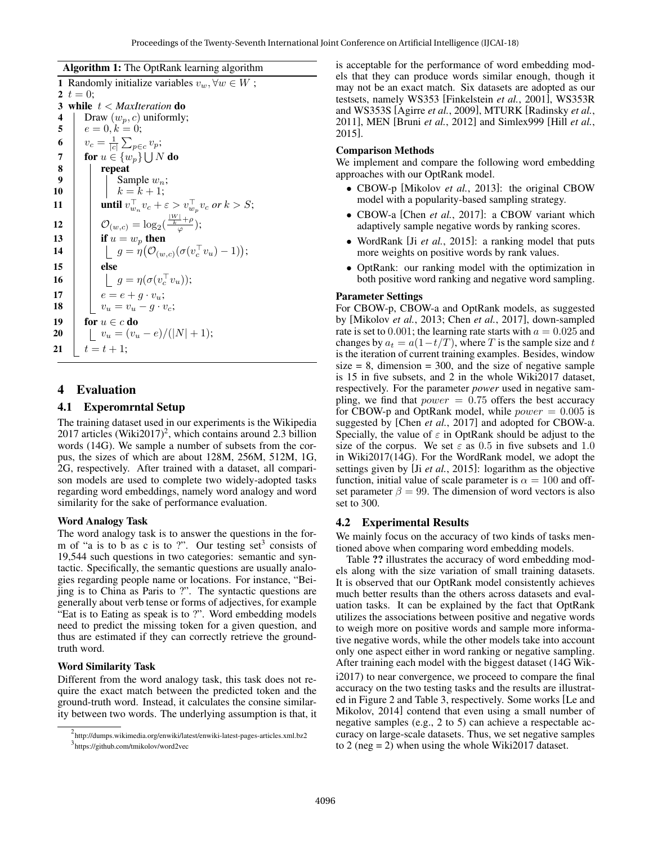#### Algorithm 1: The OptRank learning algorithm

| $\mathbf{1}$ | Randomly initialize variables $v_w, \forall w \in W$ ;                            |  |  |  |  |  |  |  |
|--------------|-----------------------------------------------------------------------------------|--|--|--|--|--|--|--|
| 2            | $t=0$ :                                                                           |  |  |  |  |  |  |  |
| 3            | while $t <$ MaxIteration do                                                       |  |  |  |  |  |  |  |
| 4            | Draw $(w_p, c)$ uniformly;                                                        |  |  |  |  |  |  |  |
| 5            | $e = 0, k = 0;$                                                                   |  |  |  |  |  |  |  |
| 6            | $v_c = \frac{1}{ c } \sum_{p \in c} v_p;$                                         |  |  |  |  |  |  |  |
| 7            | for $u \in \{w_p\}$   JN do                                                       |  |  |  |  |  |  |  |
| 8            | repeat                                                                            |  |  |  |  |  |  |  |
| 9            | Sample $w_n$ ;<br>$k = k + 1$ ;                                                   |  |  |  |  |  |  |  |
| 10           |                                                                                   |  |  |  |  |  |  |  |
| 11           | <b>until</b> $v_{w_n}^{\top} v_c + \varepsilon > v_{w_n}^{\top} v_c$ or $k > S$ ; |  |  |  |  |  |  |  |
| 12           | $\mathcal{O}_{(w,c)} = \log_2(\frac{\frac{ W }{k} + \rho}{\sigma});$              |  |  |  |  |  |  |  |
| 13           | if $u = w_p$ then                                                                 |  |  |  |  |  |  |  |
| 14           | $\int g = \eta(\mathcal{O}_{(w,c)}(\sigma(v_c^{\top}v_u)-1));$                    |  |  |  |  |  |  |  |
| 15           | else                                                                              |  |  |  |  |  |  |  |
| 16           | $\int g = \eta(\sigma(v_c^{\top}v_u));$                                           |  |  |  |  |  |  |  |
| 17           | $e = e + q \cdot v_n;$                                                            |  |  |  |  |  |  |  |
| 18           | $v_u = v_u - q \cdot v_c;$                                                        |  |  |  |  |  |  |  |
| 19           | for $u \in c$ do                                                                  |  |  |  |  |  |  |  |
| 20           | $v_u = (v_u - e)/( N  + 1);$                                                      |  |  |  |  |  |  |  |
| 21           | $t = t + 1$ :                                                                     |  |  |  |  |  |  |  |

### 4 Evaluation

### 4.1 Experomrntal Setup

The training dataset used in our experiments is the Wikipedia  $2017$  articles (Wiki $2017$ )<sup>2</sup>, which contains around 2.3 billion words (14G). We sample a number of subsets from the corpus, the sizes of which are about 128M, 256M, 512M, 1G, 2G, respectively. After trained with a dataset, all comparison models are used to complete two widely-adopted tasks regarding word embeddings, namely word analogy and word similarity for the sake of performance evaluation.

### Word Analogy Task

The word analogy task is to answer the questions in the form of "a is to b as c is to ?". Our testing set<sup>3</sup> consists of 19,544 such questions in two categories: semantic and syntactic. Specifically, the semantic questions are usually analogies regarding people name or locations. For instance, "Beijing is to China as Paris to ?". The syntactic questions are generally about verb tense or forms of adjectives, for example "Eat is to Eating as speak is to ?". Word embedding models need to predict the missing token for a given question, and thus are estimated if they can correctly retrieve the groundtruth word.

### Word Similarity Task

Different from the word analogy task, this task does not require the exact match between the predicted token and the ground-truth word. Instead, it calculates the consine similarity between two words. The underlying assumption is that, it is acceptable for the performance of word embedding models that they can produce words similar enough, though it may not be an exact match. Six datasets are adopted as our testsets, namely WS353 [Finkelstein *et al.*, 2001], WS353R and WS353S [Agirre *et al.*, 2009], MTURK [Radinsky *et al.*, 2011], MEN [Bruni *et al.*, 2012] and Simlex999 [Hill *et al.*, 2015].

#### Comparison Methods

We implement and compare the following word embedding approaches with our OptRank model.

- CBOW-p [Mikolov *et al.*, 2013]: the original CBOW model with a popularity-based sampling strategy.
- CBOW-a [Chen *et al.*, 2017]: a CBOW variant which adaptively sample negative words by ranking scores.
- WordRank [Ji *et al.*, 2015]: a ranking model that puts more weights on positive words by rank values.
- OptRank: our ranking model with the optimization in both positive word ranking and negative word sampling.

### Parameter Settings

For CBOW-p, CBOW-a and OptRank models, as suggested by [Mikolov *et al.*, 2013; Chen *et al.*, 2017], down-sampled rate is set to 0.001; the learning rate starts with  $a = 0.025$  and changes by  $a_t = a(1-t/T)$ , where T is the sample size and t is the iteration of current training examples. Besides, window size  $= 8$ , dimension  $= 300$ , and the size of negative sample is 15 in five subsets, and 2 in the whole Wiki2017 dataset, respectively. For the parameter *power* used in negative sampling, we find that  $power = 0.75$  offers the best accuracy for CBOW-p and OptRank model, while  $power = 0.005$  is suggested by [Chen *et al.*, 2017] and adopted for CBOW-a. Specially, the value of  $\varepsilon$  in OptRank should be adjust to the size of the corpus. We set  $\varepsilon$  as 0.5 in five subsets and 1.0 in Wiki2017(14G). For the WordRank model, we adopt the settings given by [Ji *et al.*, 2015]: logarithm as the objective function, initial value of scale parameter is  $\alpha = 100$  and offset parameter  $\beta = 99$ . The dimension of word vectors is also set to 300.

### 4.2 Experimental Results

We mainly focus on the accuracy of two kinds of tasks mentioned above when comparing word embedding models.

Table ?? illustrates the accuracy of word embedding models along with the size variation of small training datasets. It is observed that our OptRank model consistently achieves much better results than the others across datasets and evaluation tasks. It can be explained by the fact that OptRank utilizes the associations between positive and negative words to weigh more on positive words and sample more informative negative words, while the other models take into account only one aspect either in word ranking or negative sampling. After training each model with the biggest dataset (14G Wiki2017) to near convergence, we proceed to compare the final accuracy on the two testing tasks and the results are illustrated in Figure 2 and Table 3, respectively. Some works [Le and Mikolov, 2014] contend that even using a small number of negative samples (e.g., 2 to 5) can achieve a respectable accuracy on large-scale datasets. Thus, we set negative samples to 2 (neg = 2) when using the whole Wiki2017 dataset.

<sup>2</sup> http://dumps.wikimedia.org/enwiki/latest/enwiki-latest-pages-articles.xml.bz2 3 https://github.com/tmikolov/word2vec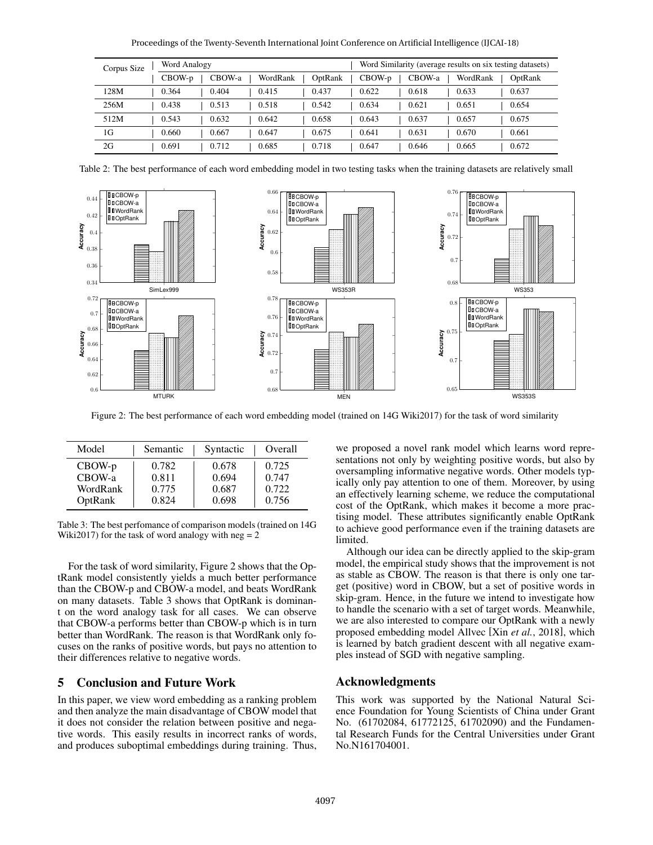Proceedings of the Twenty-Seventh International Joint Conference on Artificial Intelligence (IJCAI-18)

| Corpus Size |  | Word Analogy |  |        |  |          |  |         | Word Similarity (average results on six testing datasets) |  |        |  |          |         |
|-------------|--|--------------|--|--------|--|----------|--|---------|-----------------------------------------------------------|--|--------|--|----------|---------|
|             |  | $CBOW-p$     |  | CBOW-a |  | WordRank |  | OptRank | $CBOW-p$                                                  |  | CBOW-a |  | WordRank | OptRank |
| 128M        |  | 0.364        |  | 0.404  |  | 0.415    |  | 0.437   | 0.622                                                     |  | 0.618  |  | 0.633    | 0.637   |
| 256M        |  | 0.438        |  | 0.513  |  | 0.518    |  | 0.542   | 0.634                                                     |  | 0.621  |  | 0.651    | 0.654   |
| 512M        |  | 0.543        |  | 0.632  |  | 0.642    |  | 0.658   | 0.643                                                     |  | 0.637  |  | 0.657    | 0.675   |
| 1G          |  | 0.660        |  | 0.667  |  | 0.647    |  | 0.675   | 0.641                                                     |  | 0.631  |  | 0.670    | 0.661   |
| 2G          |  | 0.691        |  | 0.712  |  | 0.685    |  | 0.718   | 0.647                                                     |  | 0.646  |  | 0.665    | 0.672   |

Table 2: The best performance of each word embedding model in two testing tasks when the training datasets are relatively small



Figure 2: The best performance of each word embedding model (trained on 14G Wiki2017) for the task of word similarity

| Model    | Semantic | Syntactic | Overall |
|----------|----------|-----------|---------|
| $CBOW-p$ | 0.782    | 0.678     | 0.725   |
| CBOW-a   | 0.811    | 0.694     | 0.747   |
| WordRank | 0.775    | 0.687     | 0.722   |
| OptRank  | 0.824    | 0.698     | 0.756   |

Table 3: The best perfomance of comparison models (trained on 14G Wiki2017) for the task of word analogy with  $neg = 2$ 

For the task of word similarity, Figure 2 shows that the OptRank model consistently yields a much better performance than the CBOW-p and CBOW-a model, and beats WordRank on many datasets. Table 3 shows that OptRank is dominant on the word analogy task for all cases. We can observe that CBOW-a performs better than CBOW-p which is in turn better than WordRank. The reason is that WordRank only focuses on the ranks of positive words, but pays no attention to their differences relative to negative words.

# 5 Conclusion and Future Work

In this paper, we view word embedding as a ranking problem and then analyze the main disadvantage of CBOW model that it does not consider the relation between positive and negative words. This easily results in incorrect ranks of words, and produces suboptimal embeddings during training. Thus, we proposed a novel rank model which learns word representations not only by weighting positive words, but also by oversampling informative negative words. Other models typically only pay attention to one of them. Moreover, by using an effectively learning scheme, we reduce the computational cost of the OptRank, which makes it become a more practising model. These attributes significantly enable OptRank to achieve good performance even if the training datasets are limited.

Although our idea can be directly applied to the skip-gram model, the empirical study shows that the improvement is not as stable as CBOW. The reason is that there is only one target (positive) word in CBOW, but a set of positive words in skip-gram. Hence, in the future we intend to investigate how to handle the scenario with a set of target words. Meanwhile, we are also interested to compare our OptRank with a newly proposed embedding model Allvec [Xin *et al.*, 2018], which is learned by batch gradient descent with all negative examples instead of SGD with negative sampling.

### Acknowledgments

This work was supported by the National Natural Science Foundation for Young Scientists of China under Grant No. (61702084, 61772125, 61702090) and the Fundamental Research Funds for the Central Universities under Grant No.N161704001.